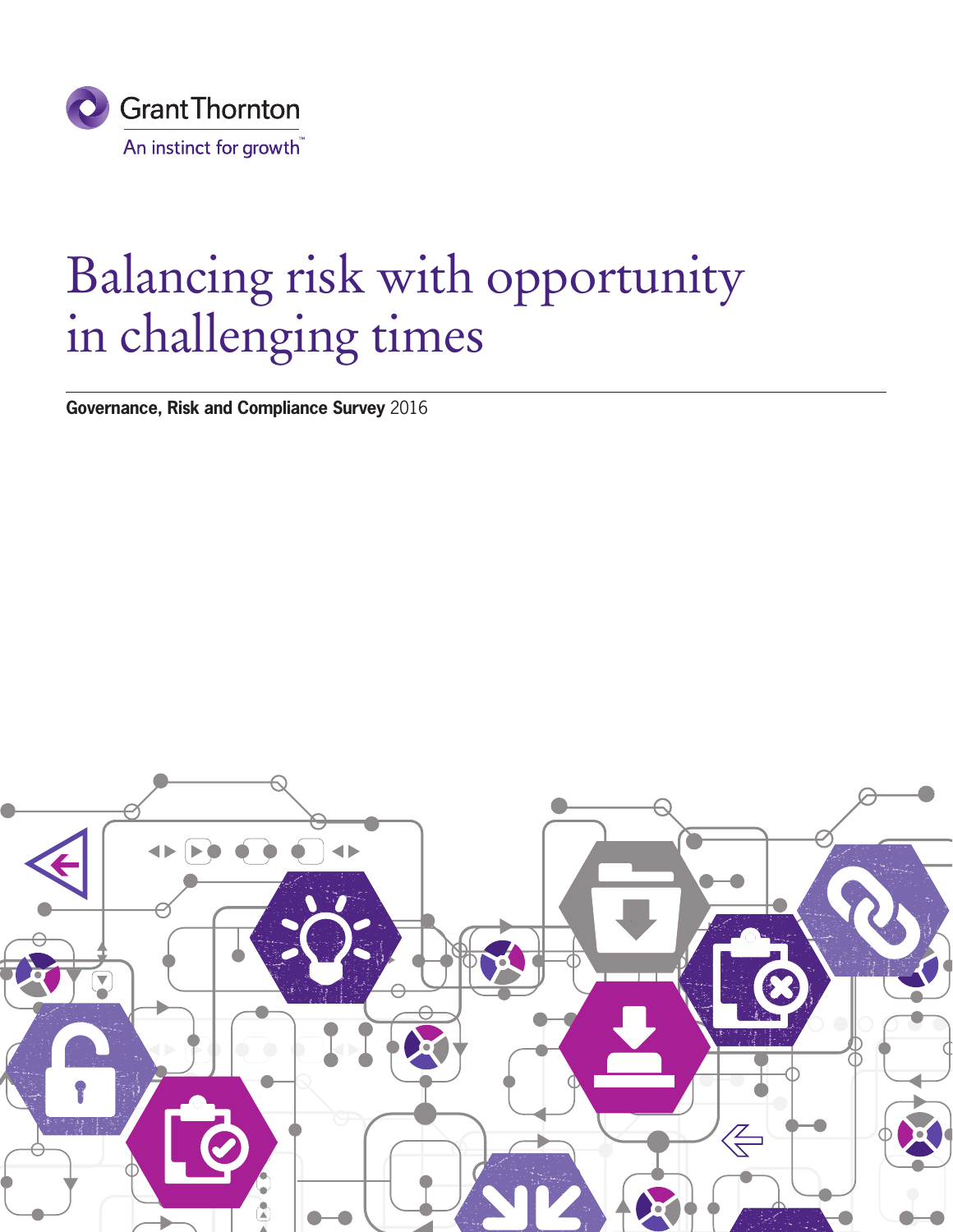

## Balancing risk with opportunity in challenging times

**Governance, Risk and Compliance Survey** 2016

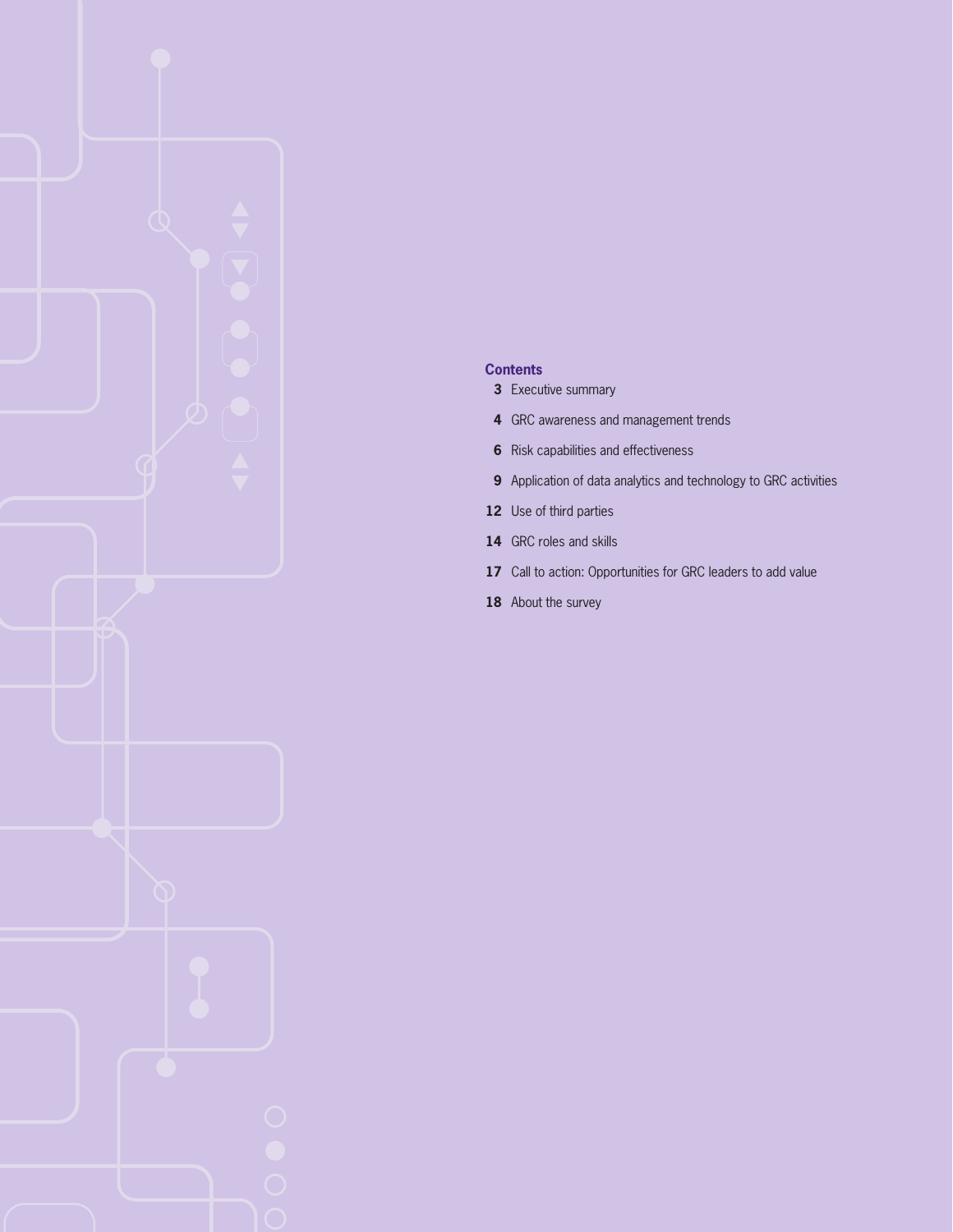#### **Contents**

- Executive summary
- GRC awareness and management trends
- Risk capabilities and effectiveness
- Application of data analytics and technology to GRC activities
- Use of third parties
- GRC roles and skills
- 17 Call to action: Opportunities for GRC leaders to add value
- About the survey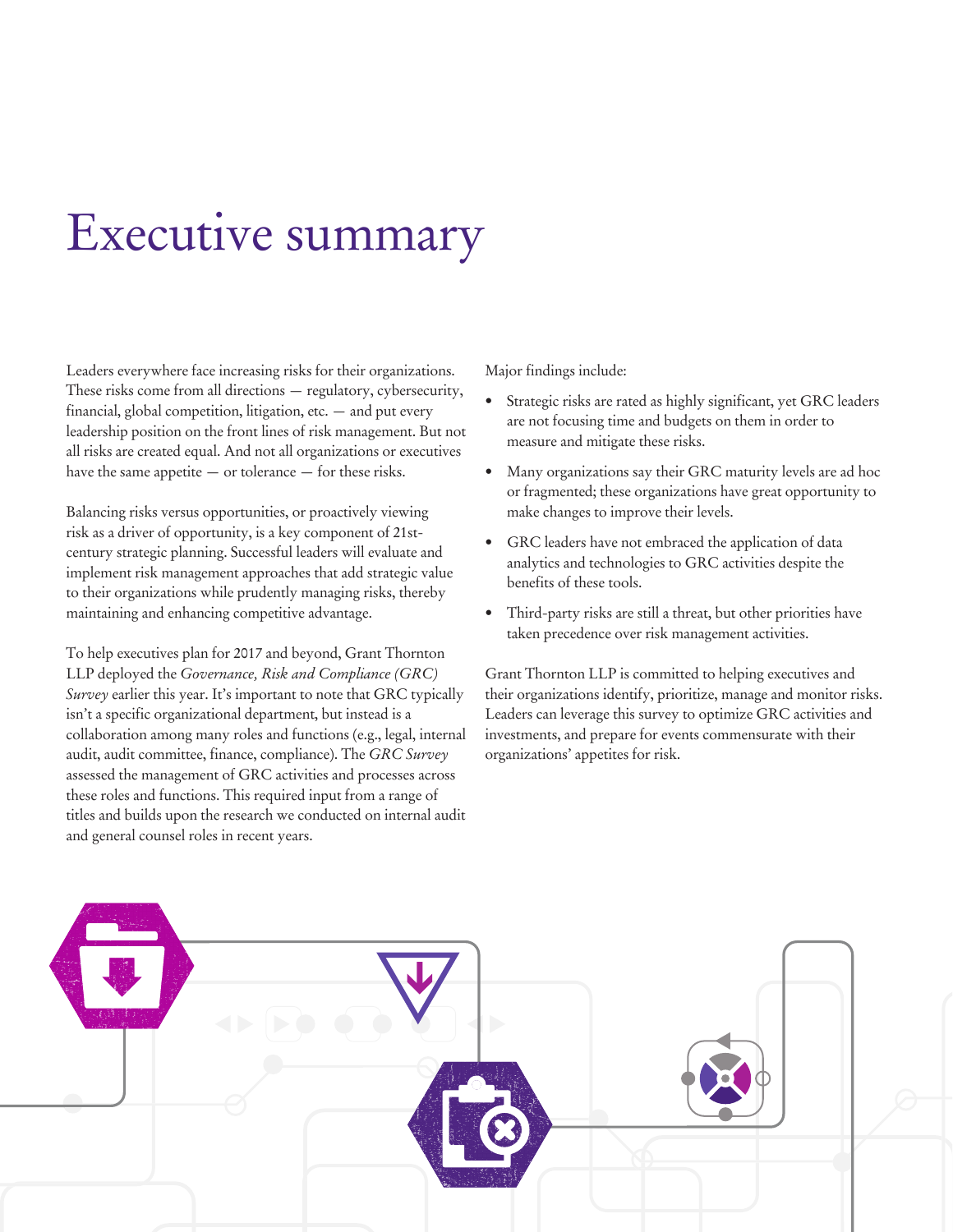## Executive summary

Leaders everywhere face increasing risks for their organizations. These risks come from all directions — regulatory, cybersecurity, financial, global competition, litigation, etc. — and put every leadership position on the front lines of risk management. But not all risks are created equal. And not all organizations or executives have the same appetite — or tolerance — for these risks.

Balancing risks versus opportunities, or proactively viewing risk as a driver of opportunity, is a key component of 21stcentury strategic planning. Successful leaders will evaluate and implement risk management approaches that add strategic value to their organizations while prudently managing risks, thereby maintaining and enhancing competitive advantage.

To help executives plan for 2017 and beyond, Grant Thornton LLP deployed the *Governance, Risk and Compliance (GRC) Survey* earlier this year. It's important to note that GRC typically isn't a specific organizational department, but instead is a collaboration among many roles and functions (e.g., legal, internal audit, audit committee, finance, compliance). The *GRC Survey* assessed the management of GRC activities and processes across these roles and functions. This required input from a range of titles and builds upon the research we conducted on internal audit and general counsel roles in recent years.

Major findings include:

- Strategic risks are rated as highly significant, yet GRC leaders are not focusing time and budgets on them in order to measure and mitigate these risks.
- Many organizations say their GRC maturity levels are ad hoc or fragmented; these organizations have great opportunity to make changes to improve their levels.
- GRC leaders have not embraced the application of data analytics and technologies to GRC activities despite the benefits of these tools.
- Third-party risks are still a threat, but other priorities have taken precedence over risk management activities.

Grant Thornton LLP is committed to helping executives and their organizations identify, prioritize, manage and monitor risks. Leaders can leverage this survey to optimize GRC activities and investments, and prepare for events commensurate with their organizations' appetites for risk.

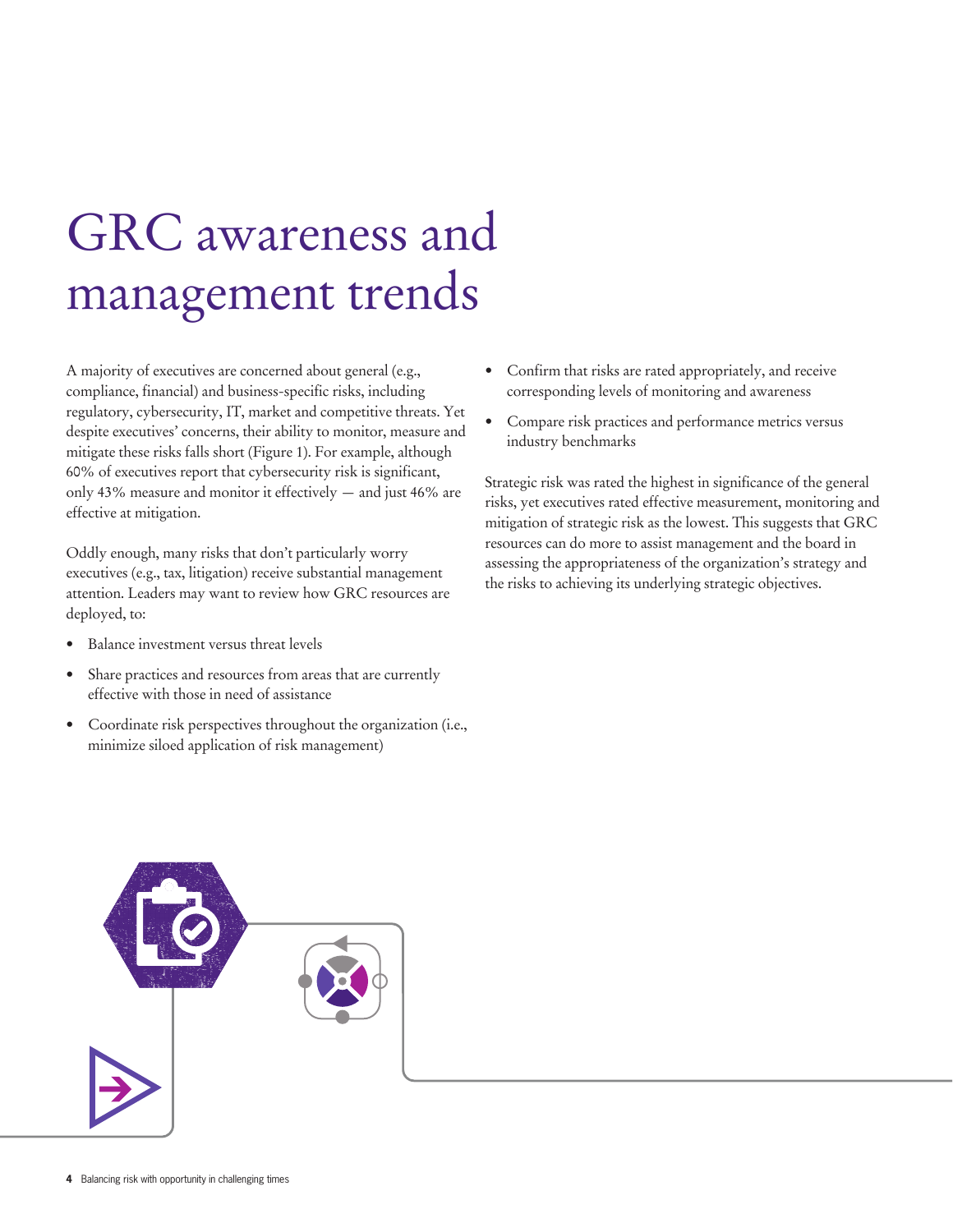## GRC awareness and management trends

A majority of executives are concerned about general (e.g., compliance, financial) and business-specific risks, including regulatory, cybersecurity, IT, market and competitive threats. Yet despite executives' concerns, their ability to monitor, measure and mitigate these risks falls short (Figure 1). For example, although 60% of executives report that cybersecurity risk is significant, only 43% measure and monitor it effectively — and just 46% are effective at mitigation.

Oddly enough, many risks that don't particularly worry executives (e.g., tax, litigation) receive substantial management attention. Leaders may want to review how GRC resources are deployed, to:

- Balance investment versus threat levels
- Share practices and resources from areas that are currently effective with those in need of assistance
- Coordinate risk perspectives throughout the organization (i.e., minimize siloed application of risk management)
- Confirm that risks are rated appropriately, and receive corresponding levels of monitoring and awareness
- Compare risk practices and performance metrics versus industry benchmarks

Strategic risk was rated the highest in significance of the general risks, yet executives rated effective measurement, monitoring and mitigation of strategic risk as the lowest. This suggests that GRC resources can do more to assist management and the board in assessing the appropriateness of the organization's strategy and the risks to achieving its underlying strategic objectives.

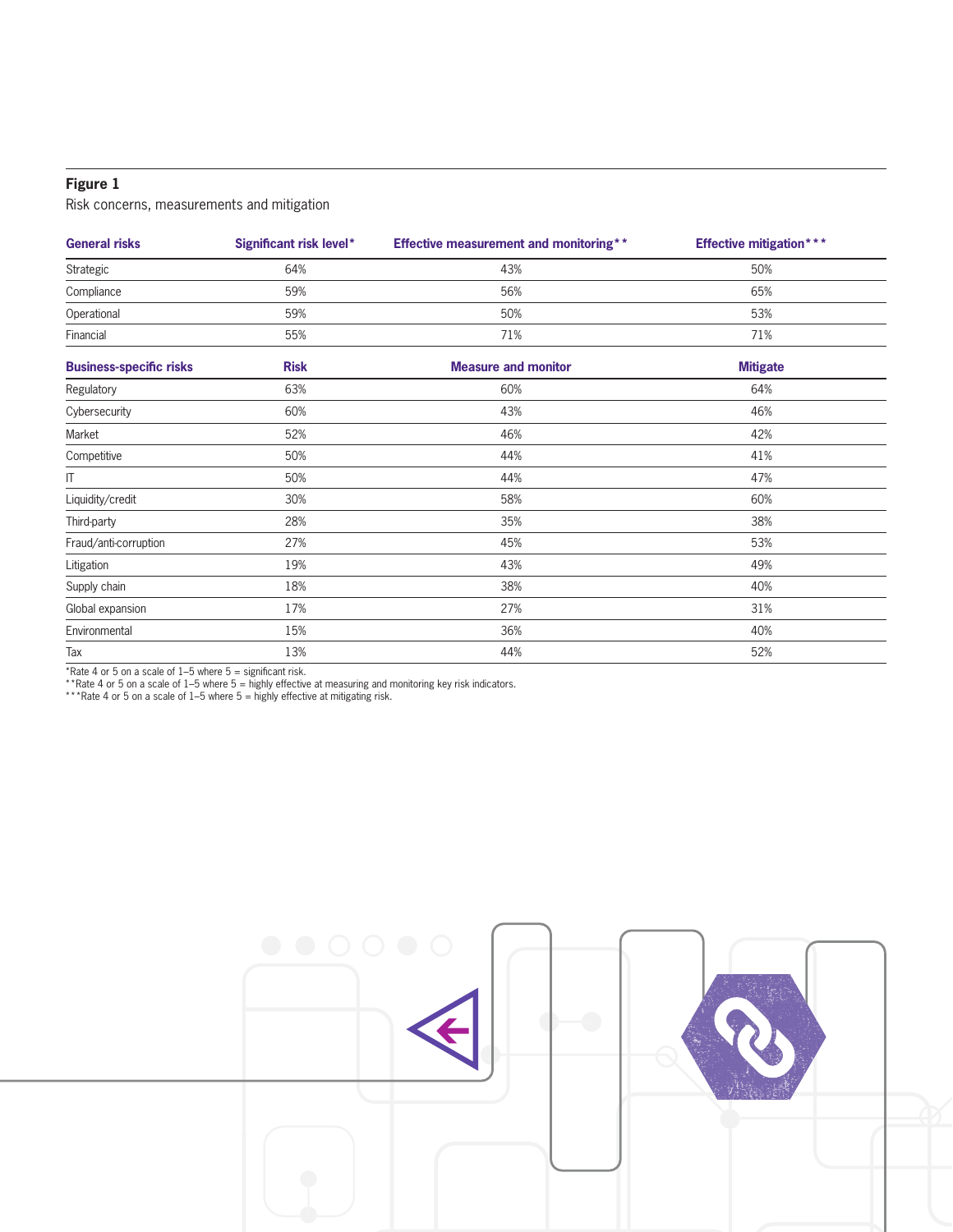#### **Figure 1**

Risk concerns, measurements and mitigation

| <b>General risks</b>           | Significant risk level* | <b>Effective measurement and monitoring**</b> | <b>Effective mitigation***</b> |  |
|--------------------------------|-------------------------|-----------------------------------------------|--------------------------------|--|
| Strategic                      | 64%                     | 43%                                           | 50%                            |  |
| Compliance                     | 59%                     | 56%                                           | 65%                            |  |
| Operational                    | 59%                     | 50%                                           | 53%                            |  |
| Financial                      | 55%                     | 71%                                           | 71%                            |  |
| <b>Business-specific risks</b> | <b>Risk</b>             | <b>Measure and monitor</b>                    | <b>Mitigate</b>                |  |
| Regulatory                     | 63%                     | 60%                                           | 64%                            |  |
| Cybersecurity                  | 60%                     | 43%                                           | 46%                            |  |
| Market                         | 52%                     | 46%                                           | 42%                            |  |
| Competitive                    | 50%                     | 44%                                           | 41%                            |  |
| $\mathsf{I}\mathsf{T}$         | 50%                     | 44%                                           | 47%                            |  |
| Liquidity/credit               | 30%                     | 58%                                           | 60%                            |  |
| Third-party                    | 28%                     | 35%                                           | 38%                            |  |
| Fraud/anti-corruption          | 27%                     | 45%                                           | 53%                            |  |
| Litigation                     | 19%                     | 43%                                           | 49%                            |  |
| Supply chain                   | 18%                     | 38%                                           | 40%                            |  |
| Global expansion               | 17%                     | 27%                                           | 31%                            |  |
| Environmental                  | 15%                     | 36%                                           | 40%                            |  |
| Tax                            | 13%                     | 44%                                           | 52%                            |  |

\*Rate 4 or 5 on a scale of  $1-5$  where  $5 =$  significant risk.

\*\*Rate 4 or 5 on a scale of 1–5 where 5 = highly effective at measuring and monitoring key risk indicators.

\*\*\*Rate 4 or 5 on a scale of 1–5 where 5 = highly effective at mitigating risk.

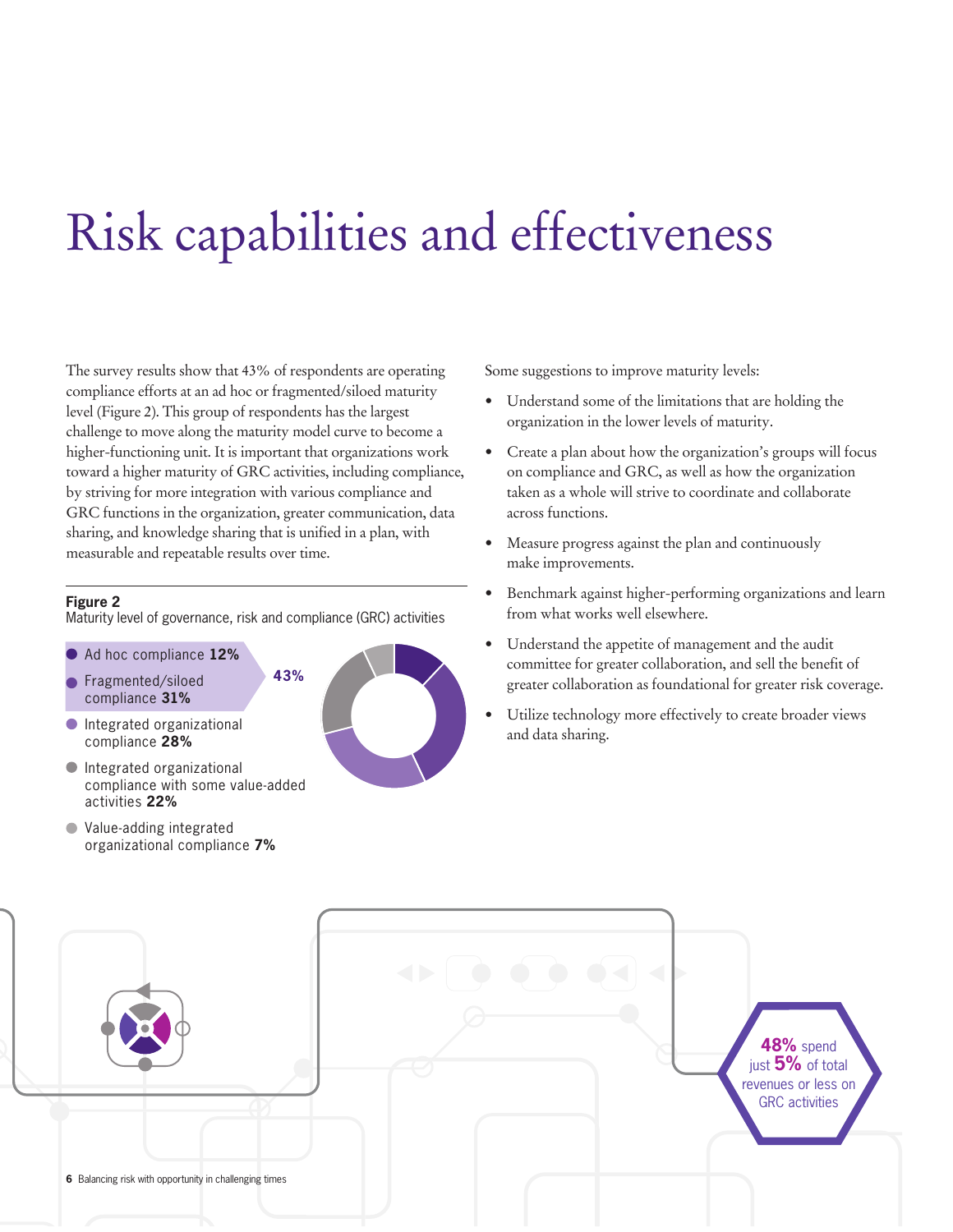## Risk capabilities and effectiveness

The survey results show that 43% of respondents are operating compliance efforts at an ad hoc or fragmented/siloed maturity level (Figure 2). This group of respondents has the largest challenge to move along the maturity model curve to become a higher-functioning unit. It is important that organizations work toward a higher maturity of GRC activities, including compliance, by striving for more integration with various compliance and GRC functions in the organization, greater communication, data sharing, and knowledge sharing that is unified in a plan, with measurable and repeatable results over time.

#### **Figure 2**

Maturity level of governance, risk and compliance (GRC) activities

- Ad hoc compliance **12%**
- Fragmented/siloed compliance **31%**
- Integrated organizational compliance **28%**
- Integrated organizational compliance with some value-added activities **22%**
- Value-adding integrated organizational compliance **7%**



Some suggestions to improve maturity levels:

- Understand some of the limitations that are holding the organization in the lower levels of maturity.
- Create a plan about how the organization's groups will focus on compliance and GRC, as well as how the organization taken as a whole will strive to coordinate and collaborate across functions.
- Measure progress against the plan and continuously make improvements.
- Benchmark against higher-performing organizations and learn from what works well elsewhere.
- Understand the appetite of management and the audit committee for greater collaboration, and sell the benefit of greater collaboration as foundational for greater risk coverage.
- Utilize technology more effectively to create broader views and data sharing.

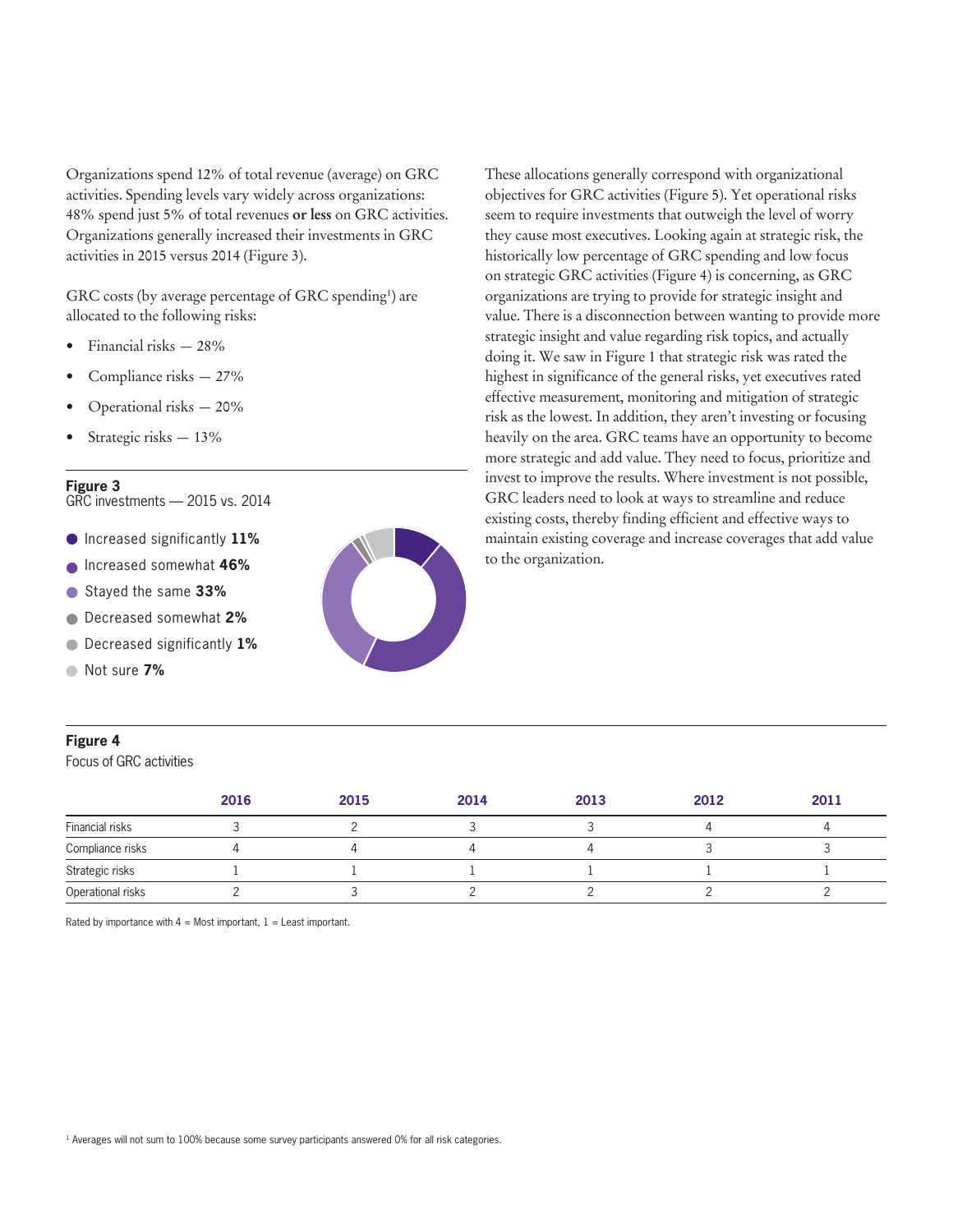Organizations spend 12% of total revenue (average) on GRC activities. Spending levels vary widely across organizations: 48% spend just 5% of total revenues **or less** on GRC activities. Organizations generally increased their investments in GRC activities in 2015 versus 2014 (Figure 3).

GRC costs (by average percentage of GRC spending<sup>1</sup>) are allocated to the following risks:

- Financial risks 28%
- Compliance risks 27%
- Operational risks 20%
- Strategic risks 13%

#### **Figure 3**

GRC investments — 2015 vs. 2014

- Increased significantly **11%**
- Increased somewhat **46%**
- Stayed the same **33%**  $\bullet$
- Decreased somewhat **2%**  $\bullet$
- Decreased significantly **1%**  $\bullet$
- Not sure **7%**  $\blacksquare$

#### **Figure 4**

Focus of GRC activities



These allocations generally correspond with organizational objectives for GRC activities (Figure 5). Yet operational risks seem to require investments that outweigh the level of worry they cause most executives. Looking again at strategic risk, the historically low percentage of GRC spending and low focus on strategic GRC activities (Figure 4) is concerning, as GRC organizations are trying to provide for strategic insight and value. There is a disconnection between wanting to provide more strategic insight and value regarding risk topics, and actually doing it. We saw in Figure 1 that strategic risk was rated the highest in significance of the general risks, yet executives rated effective measurement, monitoring and mitigation of strategic risk as the lowest. In addition, they aren't investing or focusing heavily on the area. GRC teams have an opportunity to become more strategic and add value. They need to focus, prioritize and invest to improve the results. Where investment is not possible, GRC leaders need to look at ways to streamline and reduce existing costs, thereby finding efficient and effective ways to maintain existing coverage and increase coverages that add value to the organization.

|                   | 2016 | 2015 | 2014 | 2013 | 2012 | 2011 |
|-------------------|------|------|------|------|------|------|
| Financial risks   |      |      |      |      |      |      |
| Compliance risks  |      |      |      |      |      |      |
| Strategic risks   |      |      |      |      |      |      |
| Operational risks |      |      |      |      |      |      |

Rated by importance with  $4 =$  Most important,  $1 =$  Least important.

<sup>1</sup> Averages will not sum to 100% because some survey participants answered 0% for all risk categories.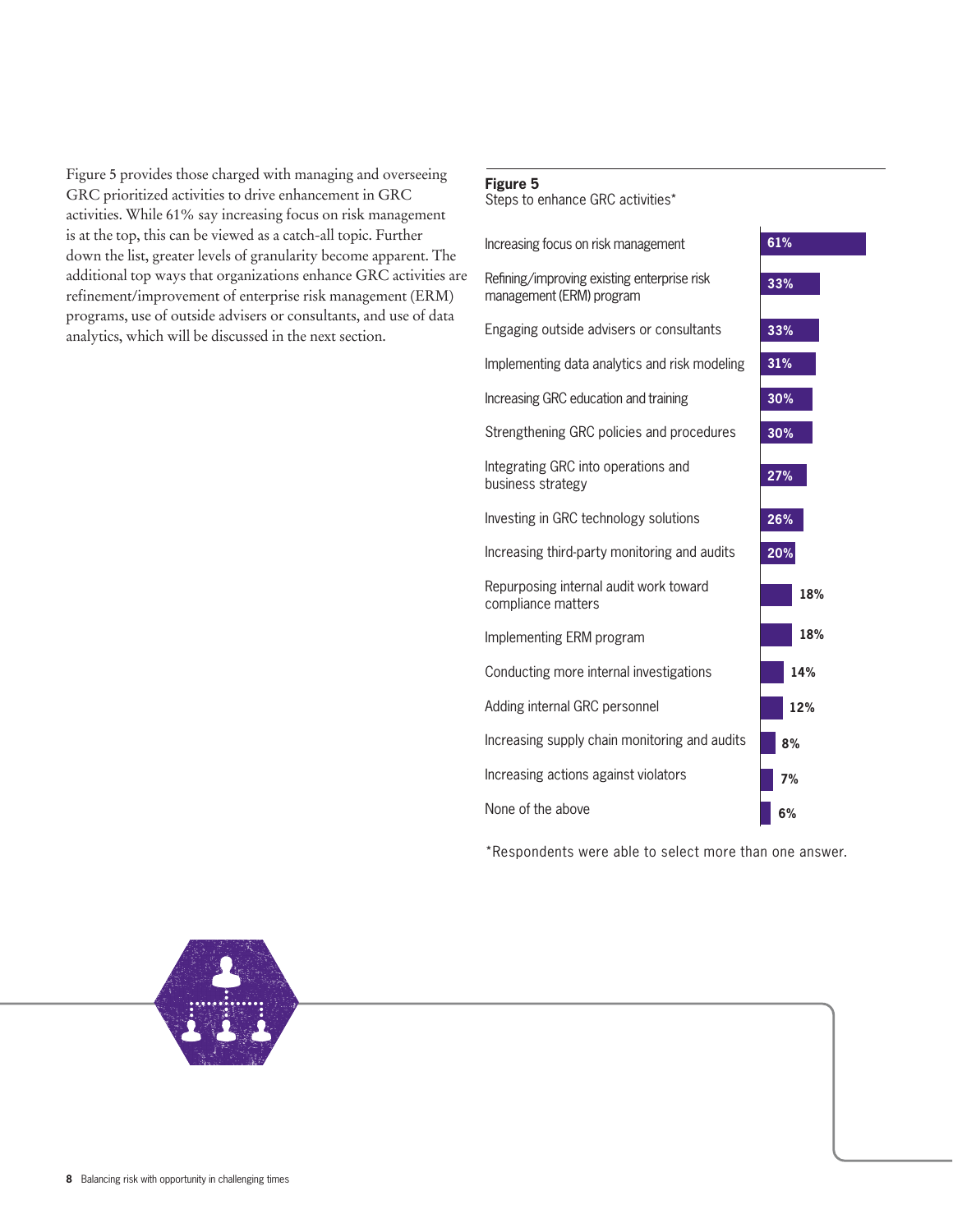Figure 5 provides those charged with managing and overseeing GRC prioritized activities to drive enhancement in GRC activities. While 61% say increasing focus on risk management is at the top, this can be viewed as a catch-all topic. Further down the list, greater levels of granularity become apparent. The additional top ways that organizations enhance GRC activities are refinement/improvement of enterprise risk management (ERM) programs, use of outside advisers or consultants, and use of data analytics, which will be discussed in the next section.

#### **Figure 5**

Steps to enhance GRC activities\*



\*Respondents were able to select more than one answer.

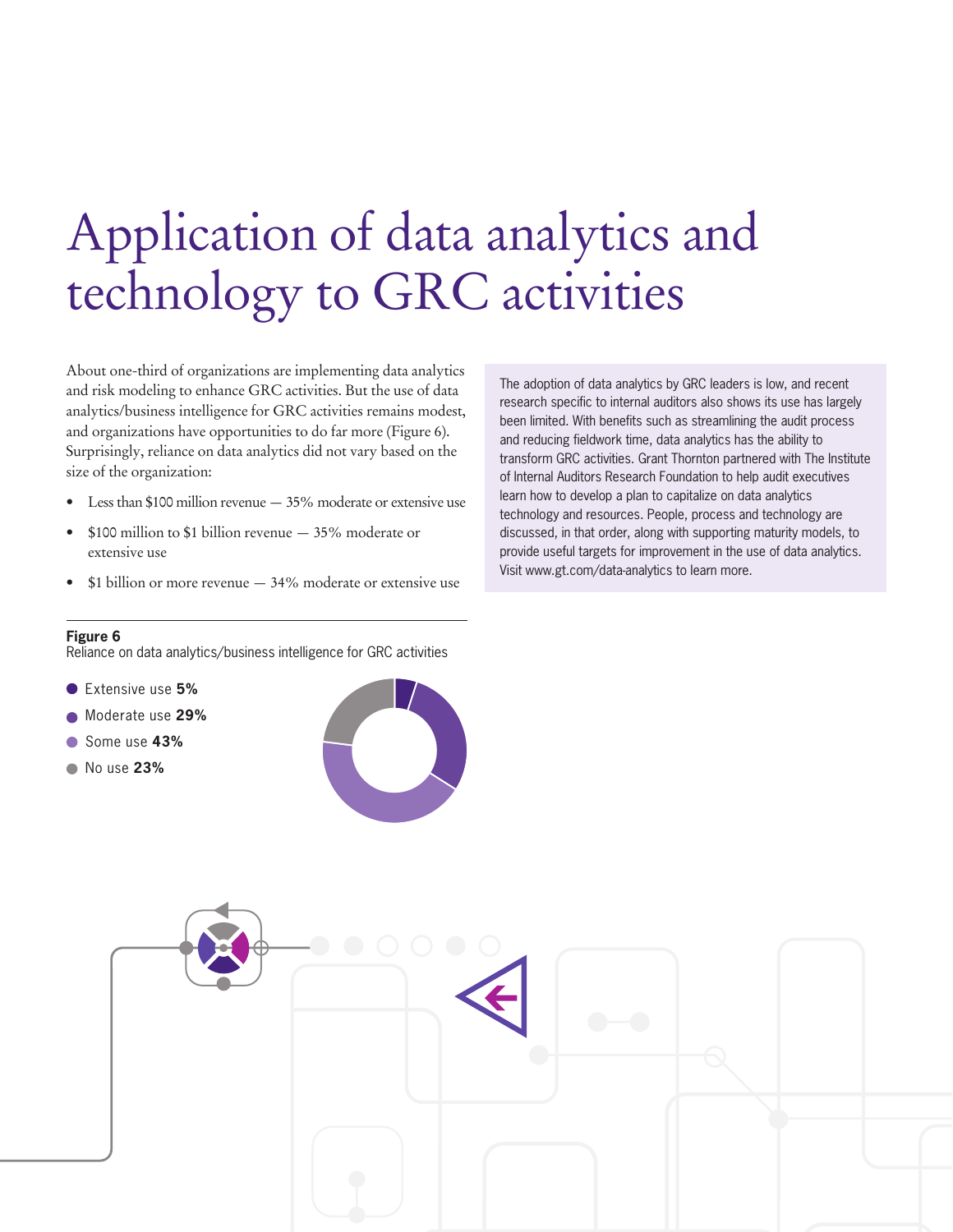## Application of data analytics and technology to GRC activities

About one-third of organizations are implementing data analytics and risk modeling to enhance GRC activities. But the use of data analytics/business intelligence for GRC activities remains modest, and organizations have opportunities to do far more (Figure 6). Surprisingly, reliance on data analytics did not vary based on the size of the organization:

- Less than \$100 million revenue  $-35%$  moderate or extensive use
- \$100 million to \$1 billion revenue  $-35%$  moderate or extensive use
- $$1$  billion or more revenue  $-34\%$  moderate or extensive use

research specific to internal auditors also shows its use has largely been limited. With benefits such as streamlining the audit process and reducing fieldwork time, data analytics has the ability to transform GRC activities. Grant Thornton partnered with The Institute of Internal Auditors Research Foundation to help audit executives learn how to develop a plan to capitalize on data analytics technology and resources. People, process and technology are discussed, in that order, along with supporting maturity models, to provide useful targets for improvement in the use of data analytics. Visit www.gt.com/data-analytics to learn more.

The adoption of data analytics by GRC leaders is low, and recent

#### **Figure 6**

Reliance on data analytics/business intelligence for GRC activities

- Extensive use **5%**
- Moderate use **29%**
- Some use **43%**
- No use **23%**



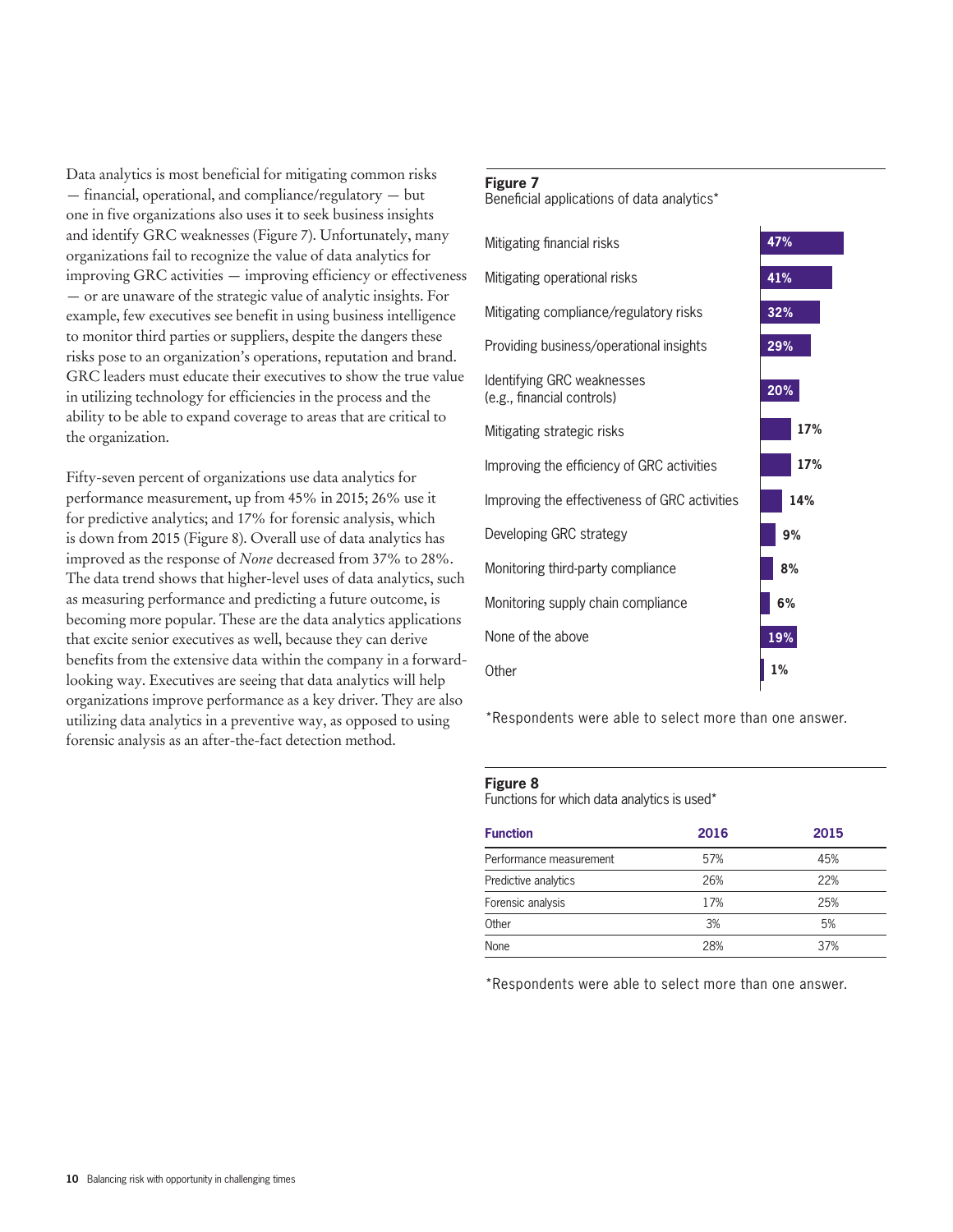Data analytics is most beneficial for mitigating common risks — financial, operational, and compliance/regulatory — but one in five organizations also uses it to seek business insights and identify GRC weaknesses (Figure 7). Unfortunately, many organizations fail to recognize the value of data analytics for improving GRC activities — improving efficiency or effectiveness — or are unaware of the strategic value of analytic insights. For example, few executives see benefit in using business intelligence to monitor third parties or suppliers, despite the dangers these risks pose to an organization's operations, reputation and brand. GRC leaders must educate their executives to show the true value in utilizing technology for efficiencies in the process and the ability to be able to expand coverage to areas that are critical to the organization.

Fifty-seven percent of organizations use data analytics for performance measurement, up from 45% in 2015; 26% use it for predictive analytics; and 17% for forensic analysis, which is down from 2015 (Figure 8). Overall use of data analytics has improved as the response of *None* decreased from 37% to 28%. The data trend shows that higher-level uses of data analytics, such as measuring performance and predicting a future outcome, is becoming more popular. These are the data analytics applications that excite senior executives as well, because they can derive benefits from the extensive data within the company in a forwardlooking way. Executives are seeing that data analytics will help organizations improve performance as a key driver. They are also utilizing data analytics in a preventive way, as opposed to using forensic analysis as an after-the-fact detection method.

### **Figure 7**

Beneficial applications of data analytics\*



\*Respondents were able to select more than one answer.

#### **Figure 8**

Functions for which data analytics is used\*

| <b>Function</b>         | 2016 | 2015 |  |
|-------------------------|------|------|--|
| Performance measurement | 57%  | 45%  |  |
| Predictive analytics    | 26%  | 22%  |  |
| Forensic analysis       | 17%  | 25%  |  |
| Other                   | 3%   | 5%   |  |
| None                    | 28%  | 37%  |  |

\*Respondents were able to select more than one answer.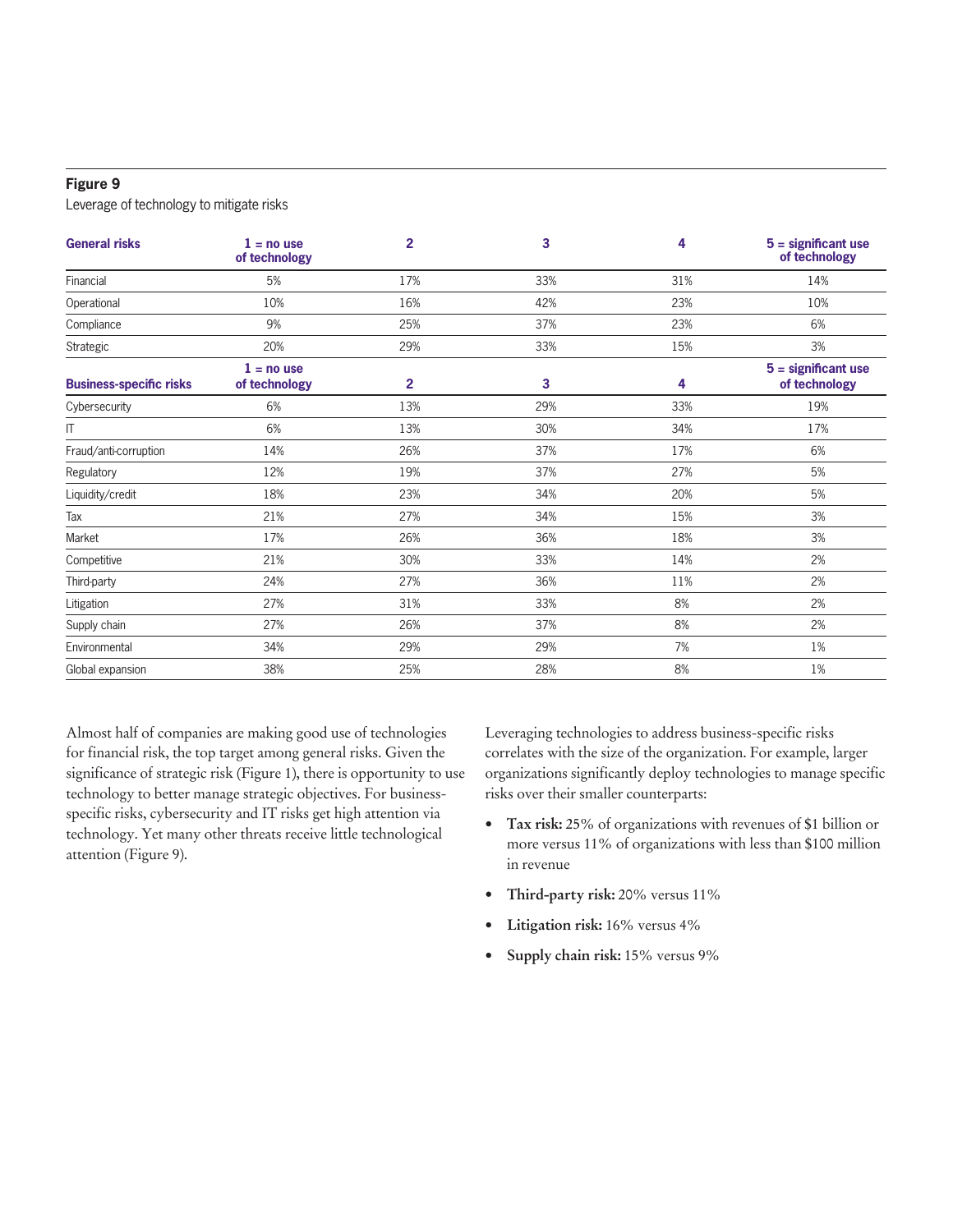#### **Figure 9**

Leverage of technology to mitigate risks

| <b>General risks</b>           | $1 = no$ use<br>of technology | $\overline{2}$ | 3   | 4   | $5 =$ significant use<br>of technology |
|--------------------------------|-------------------------------|----------------|-----|-----|----------------------------------------|
| Financial                      | 5%                            | 17%            | 33% | 31% | 14%                                    |
| Operational                    | 10%                           | 16%            | 42% | 23% | 10%                                    |
| Compliance                     | 9%                            | 25%            | 37% | 23% | 6%                                     |
| Strategic                      | 20%                           | 29%            | 33% | 15% | 3%                                     |
| <b>Business-specific risks</b> | $1 = no$ use<br>of technology | 2              | 3   | 4   | $5 =$ significant use<br>of technology |
| Cybersecurity                  | 6%                            | 13%            | 29% | 33% | 19%                                    |
| IT                             | 6%                            | 13%            | 30% | 34% | 17%                                    |
| Fraud/anti-corruption          | 14%                           | 26%            | 37% | 17% | 6%                                     |
| Regulatory                     | 12%                           | 19%            | 37% | 27% | 5%                                     |
| Liquidity/credit               | 18%                           | 23%            | 34% | 20% | 5%                                     |
| Tax                            | 21%                           | 27%            | 34% | 15% | 3%                                     |
| Market                         | 17%                           | 26%            | 36% | 18% | 3%                                     |
| Competitive                    | 21%                           | 30%            | 33% | 14% | 2%                                     |
| Third-party                    | 24%                           | 27%            | 36% | 11% | 2%                                     |
| Litigation                     | 27%                           | 31%            | 33% | 8%  | 2%                                     |
| Supply chain                   | 27%                           | 26%            | 37% | 8%  | 2%                                     |
| Environmental                  | 34%                           | 29%            | 29% | 7%  | 1%                                     |
| Global expansion               | 38%                           | 25%            | 28% | 8%  | 1%                                     |

Almost half of companies are making good use of technologies for financial risk, the top target among general risks. Given the significance of strategic risk (Figure 1), there is opportunity to use technology to better manage strategic objectives. For businessspecific risks, cybersecurity and IT risks get high attention via technology. Yet many other threats receive little technological attention (Figure 9).

Leveraging technologies to address business-specific risks correlates with the size of the organization. For example, larger organizations significantly deploy technologies to manage specific risks over their smaller counterparts:

- **• Tax risk:** 25% of organizations with revenues of \$1 billion or more versus 11% of organizations with less than \$100 million in revenue
- **Third-party risk:** 20% versus 11%
- **• Litigation risk:** 16% versus 4%
- **• Supply chain risk:** 15% versus 9%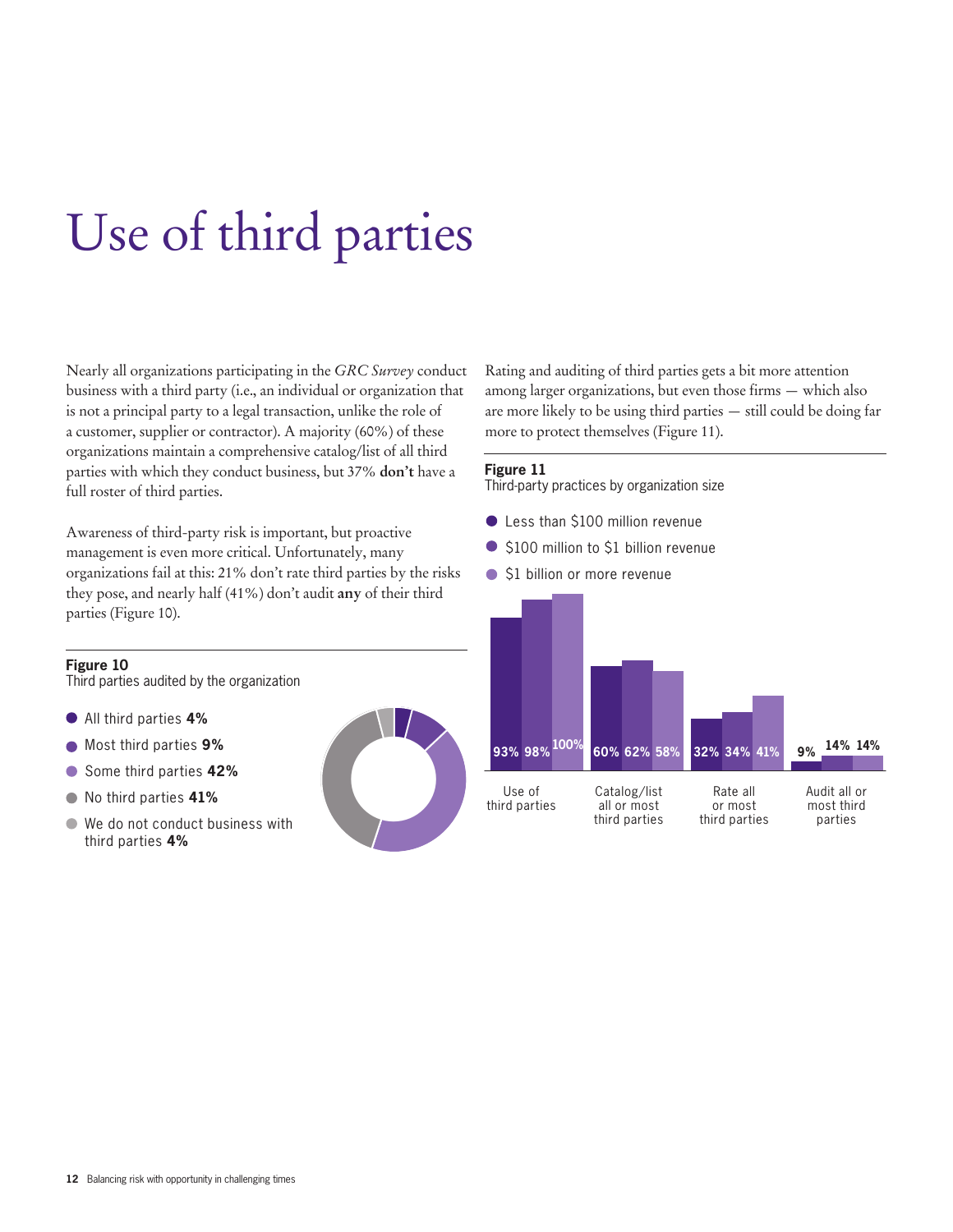## Use of third parties

Nearly all organizations participating in the *GRC Survey* conduct business with a third party (i.e., an individual or organization that is not a principal party to a legal transaction, unlike the role of a customer, supplier or contractor). A majority (60%) of these organizations maintain a comprehensive catalog/list of all third parties with which they conduct business, but 37% **don't** have a full roster of third parties.

Awareness of third-party risk is important, but proactive management is even more critical. Unfortunately, many organizations fail at this: 21% don't rate third parties by the risks they pose, and nearly half (41%) don't audit **any** of their third parties (Figure 10).

#### **Figure 10**

Third parties audited by the organization

- All third parties **4%**
- Most third parties **9%**  $\bullet$
- Some third parties **42%**  $\bullet$
- No third parties **41%**
- We do not conduct business with  $\bullet$ third parties **4%**



Rating and auditing of third parties gets a bit more attention among larger organizations, but even those firms — which also are more likely to be using third parties — still could be doing far more to protect themselves (Figure 11).

#### **Figure 11**

Third-party practices by organization size

- Less than \$100 million revenue
- \$100 million to \$1 billion revenue
- \$1 billion or more revenue

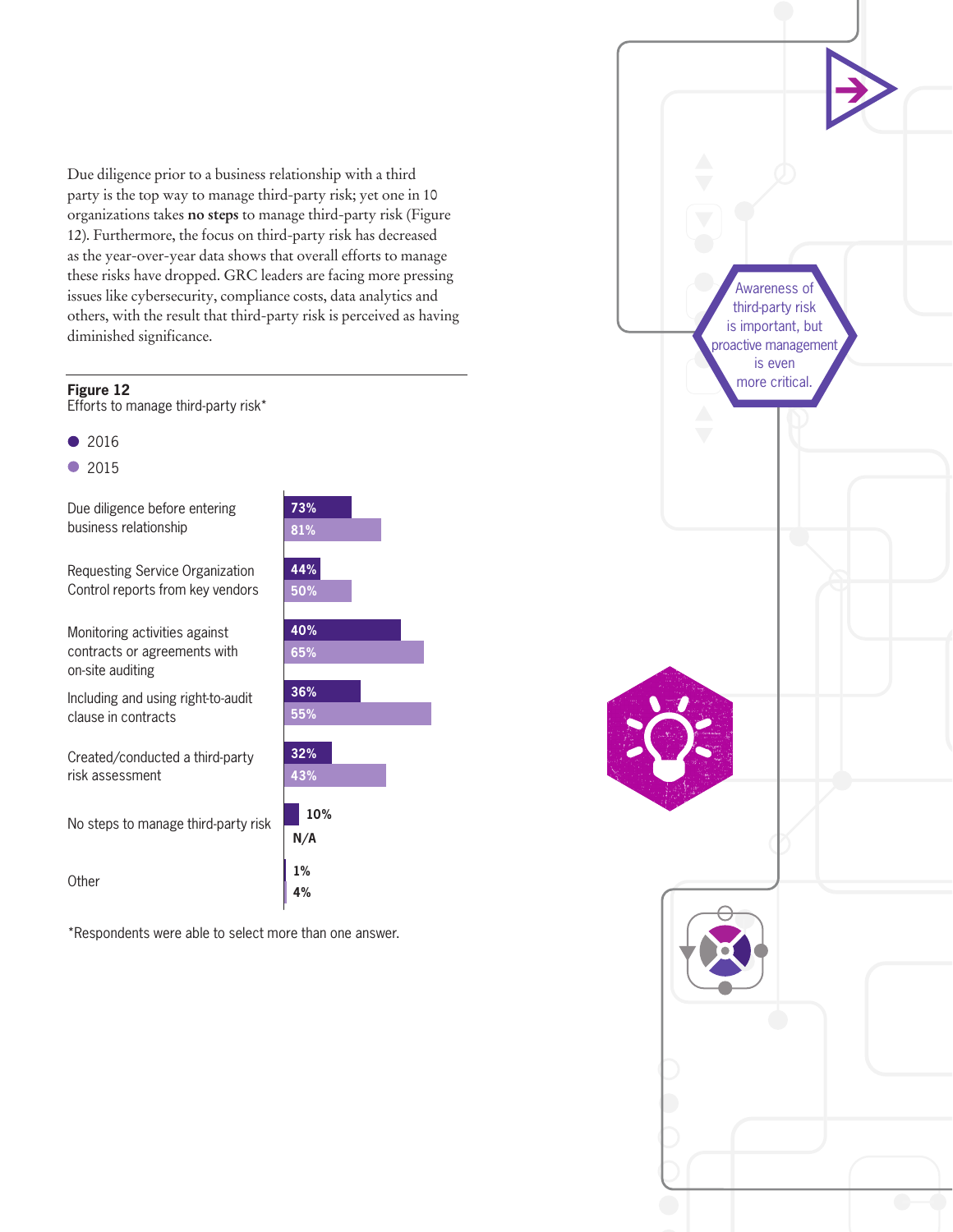Due diligence prior to a business relationship with a third party is the top way to manage third-party risk; yet one in 10 organizations takes **no steps** to manage third-party risk (Figure 12). Furthermore, the focus on third-party risk has decreased as the year-over-year data shows that overall efforts to manage these risks have dropped. GRC leaders are facing more pressing issues like cybersecurity, compliance costs, data analytics and others, with the result that third-party risk is perceived as having diminished significance.

#### **Figure 12**

Efforts to manage third-party risk\*

- $\bullet$ 2016
- 2015

Due diligence before entering business relationship

Requesting Service Organization Control reports from key vendors

Monitoring activities against contracts or agreements with on-site auditing

Including and using right-to-audit clause in contracts

Created/conducted a third-party risk assessment

No steps to manage third-party risk

**Other** 

\*Respondents were able to select more than one answer.

**1% 4%**



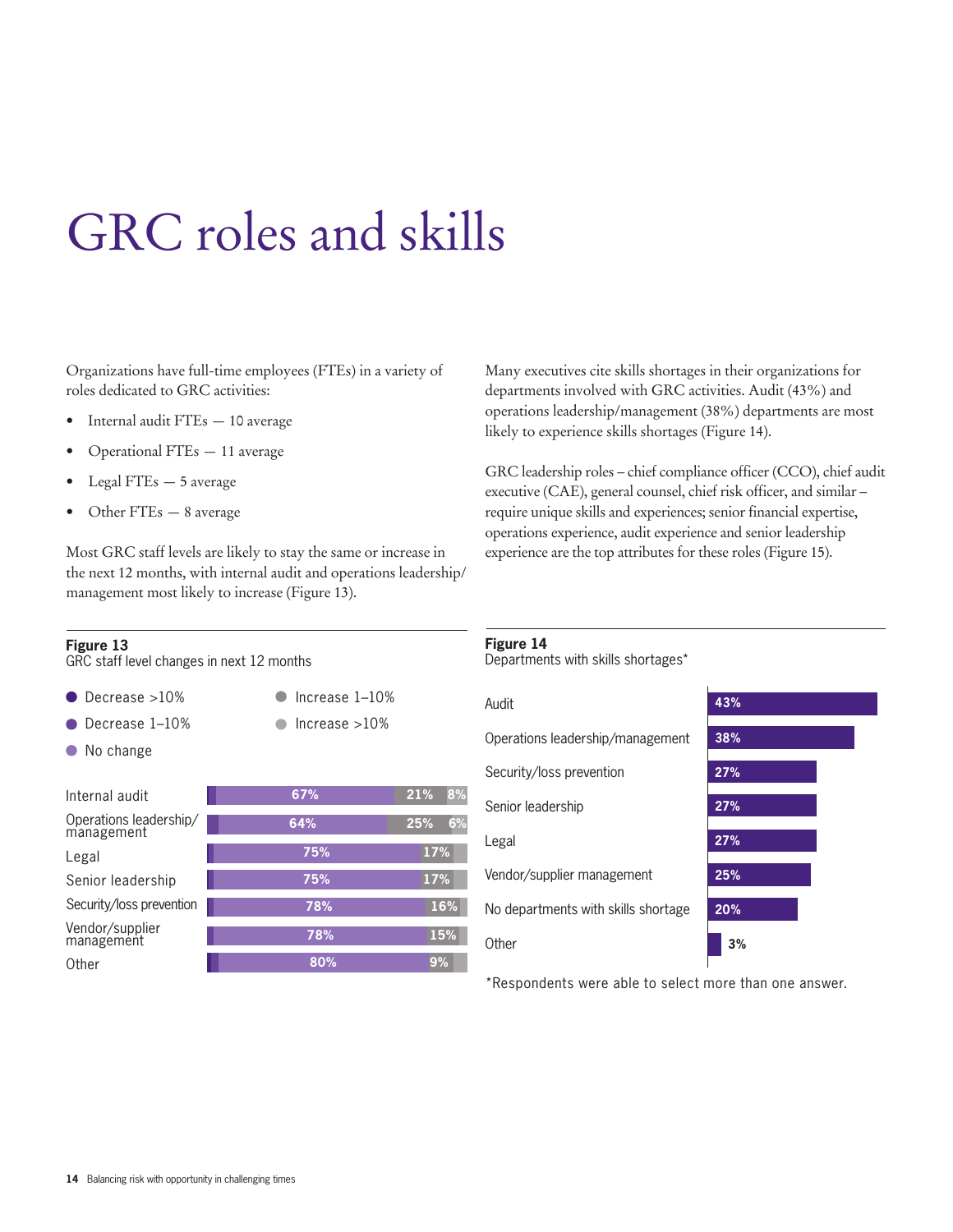## GRC roles and skills

Organizations have full-time employees (FTEs) in a variety of roles dedicated to GRC activities:

- Internal audit FTEs 10 average
- Operational FTEs 11 average
- Legal FTEs 5 average
- Other FTEs 8 average

Most GRC staff levels are likely to stay the same or increase in the next 12 months, with internal audit and operations leadership/ management most likely to increase (Figure 13).

#### **Figure 13**

GRC staff level changes in next 12 months

- Decrease >10%  $\bullet$  Increase 1-10% Decrease 1–10%  $\blacksquare$  Increase >10%  $\blacksquare$
- No change

| Internal audit                       | 67% | 8%<br>21% |
|--------------------------------------|-----|-----------|
| Operations leadership/<br>management | 64% | 6%<br>25% |
| Legal                                | 75% | 17%       |
| Senior leadership                    | 75% | 17%       |
| Security/loss prevention             | 78% | 16%       |
| Vendor/supplier<br>management        | 78% | 15%       |
| Other                                | 80% | 9%        |

Many executives cite skills shortages in their organizations for departments involved with GRC activities. Audit (43%) and operations leadership/management (38%) departments are most likely to experience skills shortages (Figure 14).

GRC leadership roles – chief compliance officer (CCO), chief audit executive (CAE), general counsel, chief risk officer, and similar – require unique skills and experiences; senior financial expertise, operations experience, audit experience and senior leadership experience are the top attributes for these roles (Figure 15).

**Figure 14**

Departments with skills shortages\*

#### **27% 27% 25% 20% 3%** Audit **43%** Operations leadership/management Security/loss prevention Senior leadership Legal Vendor/supplier management No departments with skills shortage **Other 38% 27%**

\*Respondents were able to select more than one answer.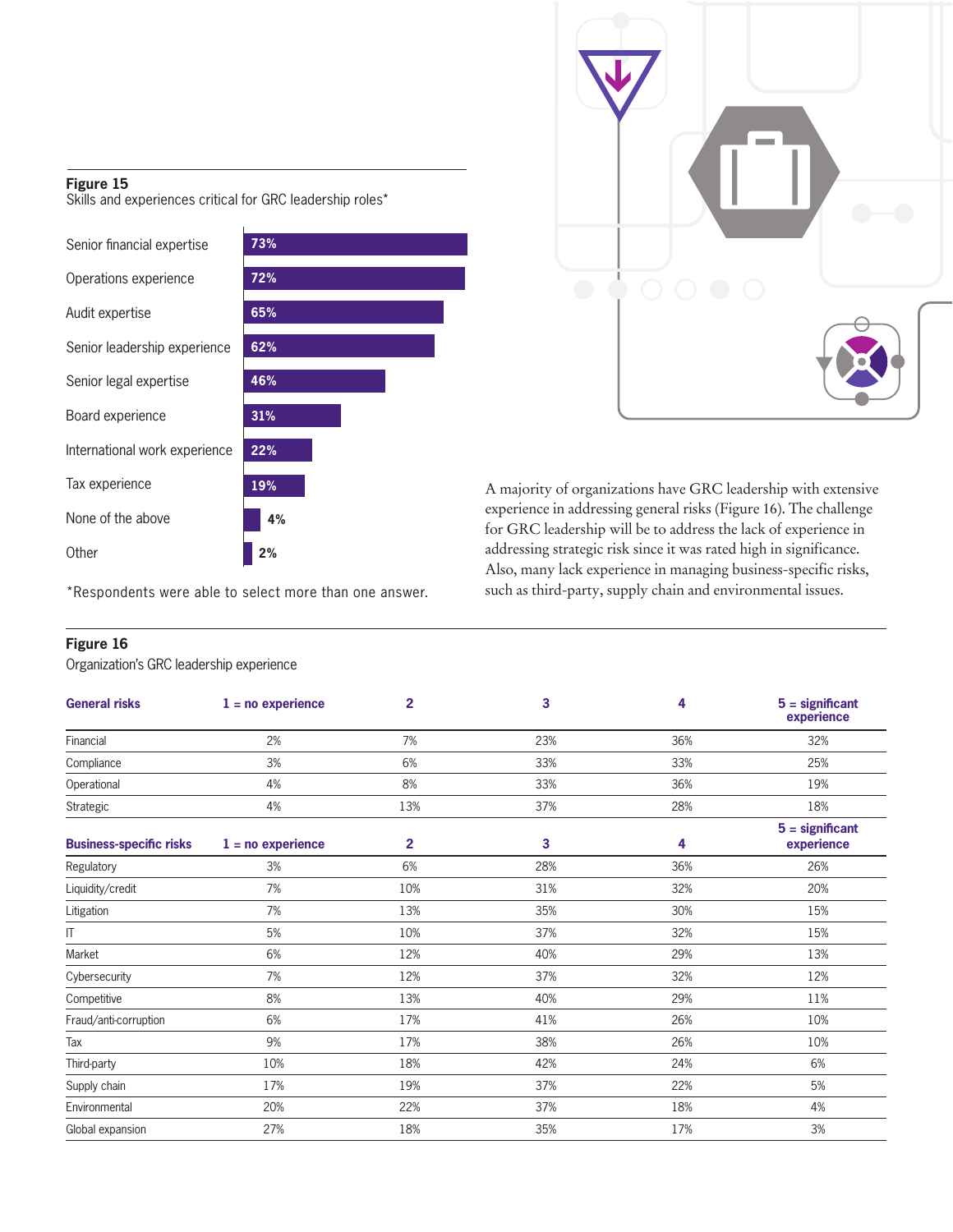#### **Figure 15**

Skills and experiences critical for GRC leadership roles\*

| 73% |
|-----|
| 72% |
| 65% |
| 62% |
| 46% |
| 31% |
| 22% |
| 19% |
| 4%  |
| 2%  |
|     |

 $\bullet$   $\bullet$ 

**19%** A majority of organizations have GRC leadership with extensive experience in addressing general risks (Figure 16). The challenge for GRC leadership will be to address the lack of experience in addressing strategic risk since it was rated high in significance. Also, many lack experience in managing business-specific risks, such as third-party, supply chain and environmental issues.

\*Respondents were able to select more than one answer.

#### **Figure 16**

Organization's GRC leadership experience

| <b>General risks</b>           | $1 = no$ experience | $\overline{2}$ | 3   | 4   | $5 =$ significant<br>experience |
|--------------------------------|---------------------|----------------|-----|-----|---------------------------------|
| Financial                      | 2%                  | 7%             | 23% | 36% | 32%                             |
| Compliance                     | 3%                  | 6%             | 33% | 33% | 25%                             |
| Operational                    | 4%                  | 8%             | 33% | 36% | 19%                             |
| Strategic                      | 4%                  | 13%            | 37% | 28% | 18%                             |
| <b>Business-specific risks</b> | $1 = no$ experience | $\overline{2}$ | 3   | 4   | $5 =$ significant<br>experience |
| Regulatory                     | 3%                  | 6%             | 28% | 36% | 26%                             |
| Liquidity/credit               | 7%                  | 10%            | 31% | 32% | 20%                             |
| Litigation                     | 7%                  | 13%            | 35% | 30% | 15%                             |
| IT                             | 5%                  | 10%            | 37% | 32% | 15%                             |
| Market                         | 6%                  | 12%            | 40% | 29% | 13%                             |
| Cybersecurity                  | 7%                  | 12%            | 37% | 32% | 12%                             |
| Competitive                    | 8%                  | 13%            | 40% | 29% | 11%                             |
| Fraud/anti-corruption          | 6%                  | 17%            | 41% | 26% | 10%                             |
| Tax                            | 9%                  | 17%            | 38% | 26% | 10%                             |
| Third-party                    | 10%                 | 18%            | 42% | 24% | 6%                              |
| Supply chain                   | 17%                 | 19%            | 37% | 22% | 5%                              |
| Environmental                  | 20%                 | 22%            | 37% | 18% | 4%                              |
| Global expansion               | 27%                 | 18%            | 35% | 17% | 3%                              |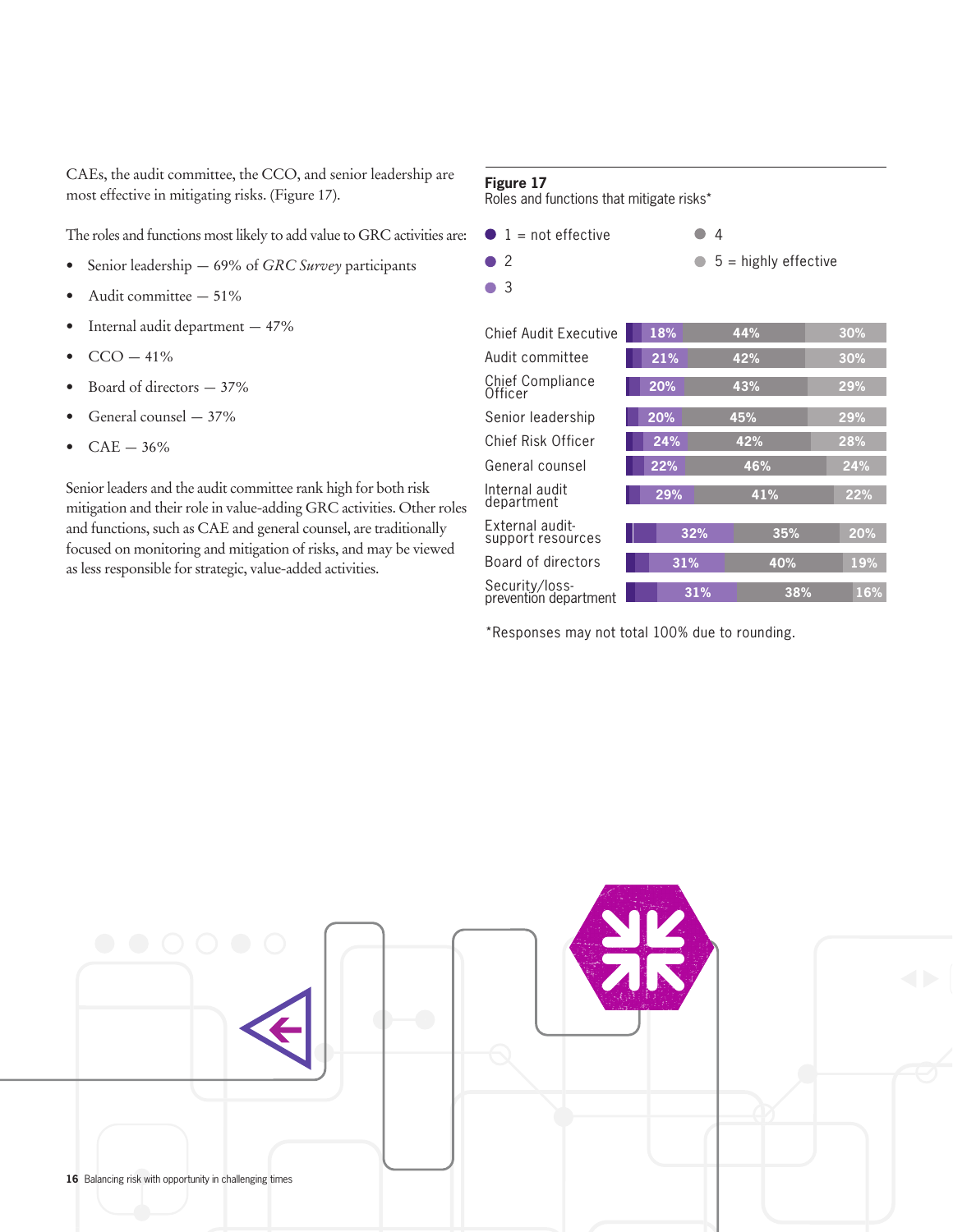CAEs, the audit committee, the CCO, and senior leadership are most effective in mitigating risks. (Figure 17).

The roles and functions most likely to add value to GRC activities are:

- Senior leadership 69% of *GRC Survey* participants
- Audit committee 51%
- Internal audit department 47%
- $CCO 41%$
- Board of directors 37%
- General counsel 37%
- $CAE 36%$

Senior leaders and the audit committee rank high for both risk mitigation and their role in value-adding GRC activities. Other roles and functions, such as CAE and general counsel, are traditionally focused on monitoring and mitigation of risks, and may be viewed as less responsible for strategic, value-added activities.

#### **Figure 17**

Roles and functions that mitigate risks\*

| $\blacksquare$ 1 = not effective<br>2<br>3 |     | 4<br>$5$ = highly effective |     |
|--------------------------------------------|-----|-----------------------------|-----|
| <b>Chief Audit Executive</b>               | 18% | 44%                         | 30% |
| Audit committee                            | 21% | 42%                         | 30% |
| <b>Chief Compliance</b><br>Officer         | 20% | 43%                         | 29% |
| Senior leadership                          | 20% | 45%                         | 29% |
| Chief Risk Officer                         | 24% | 42%                         | 28% |
| General counsel                            | 22% | 46%                         | 24% |
| Internal audit<br>department               | 29% | 41%                         | 22% |
| External audit-<br>support resources       | 32% | 35%                         | 20% |
| Board of directors                         | 31% | 40%                         | 19% |
| Security/loss-<br>prevention department    | 31% | 38%                         | 16% |

\*Responses may not total 100% due to rounding.

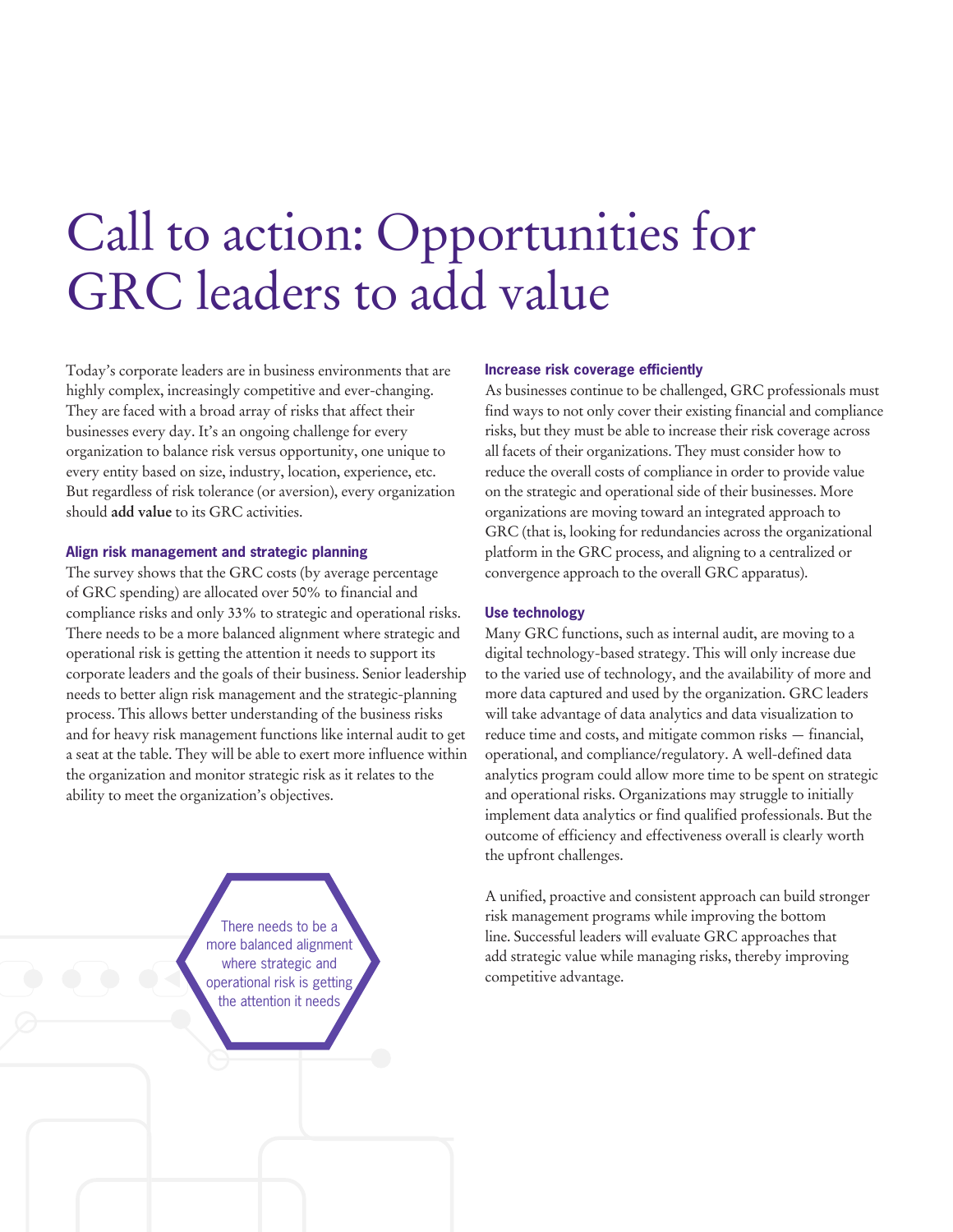## Call to action: Opportunities for GRC leaders to add value

Today's corporate leaders are in business environments that are highly complex, increasingly competitive and ever-changing. They are faced with a broad array of risks that affect their businesses every day. It's an ongoing challenge for every organization to balance risk versus opportunity, one unique to every entity based on size, industry, location, experience, etc. But regardless of risk tolerance (or aversion), every organization should **add value** to its GRC activities.

#### **Align risk management and strategic planning**

The survey shows that the GRC costs (by average percentage of GRC spending) are allocated over 50% to financial and compliance risks and only 33% to strategic and operational risks. There needs to be a more balanced alignment where strategic and operational risk is getting the attention it needs to support its corporate leaders and the goals of their business. Senior leadership needs to better align risk management and the strategic-planning process. This allows better understanding of the business risks and for heavy risk management functions like internal audit to get a seat at the table. They will be able to exert more influence within the organization and monitor strategic risk as it relates to the ability to meet the organization's objectives.

> There needs to be a more balanced alignment where strategic and operational risk is getting the attention it needs

#### **Increase risk coverage efficiently**

As businesses continue to be challenged, GRC professionals must find ways to not only cover their existing financial and compliance risks, but they must be able to increase their risk coverage across all facets of their organizations. They must consider how to reduce the overall costs of compliance in order to provide value on the strategic and operational side of their businesses. More organizations are moving toward an integrated approach to GRC (that is, looking for redundancies across the organizational platform in the GRC process, and aligning to a centralized or convergence approach to the overall GRC apparatus).

#### **Use technology**

Many GRC functions, such as internal audit, are moving to a digital technology-based strategy. This will only increase due to the varied use of technology, and the availability of more and more data captured and used by the organization. GRC leaders will take advantage of data analytics and data visualization to reduce time and costs, and mitigate common risks — financial, operational, and compliance/regulatory. A well-defined data analytics program could allow more time to be spent on strategic and operational risks. Organizations may struggle to initially implement data analytics or find qualified professionals. But the outcome of efficiency and effectiveness overall is clearly worth the upfront challenges.

A unified, proactive and consistent approach can build stronger risk management programs while improving the bottom line. Successful leaders will evaluate GRC approaches that add strategic value while managing risks, thereby improving competitive advantage.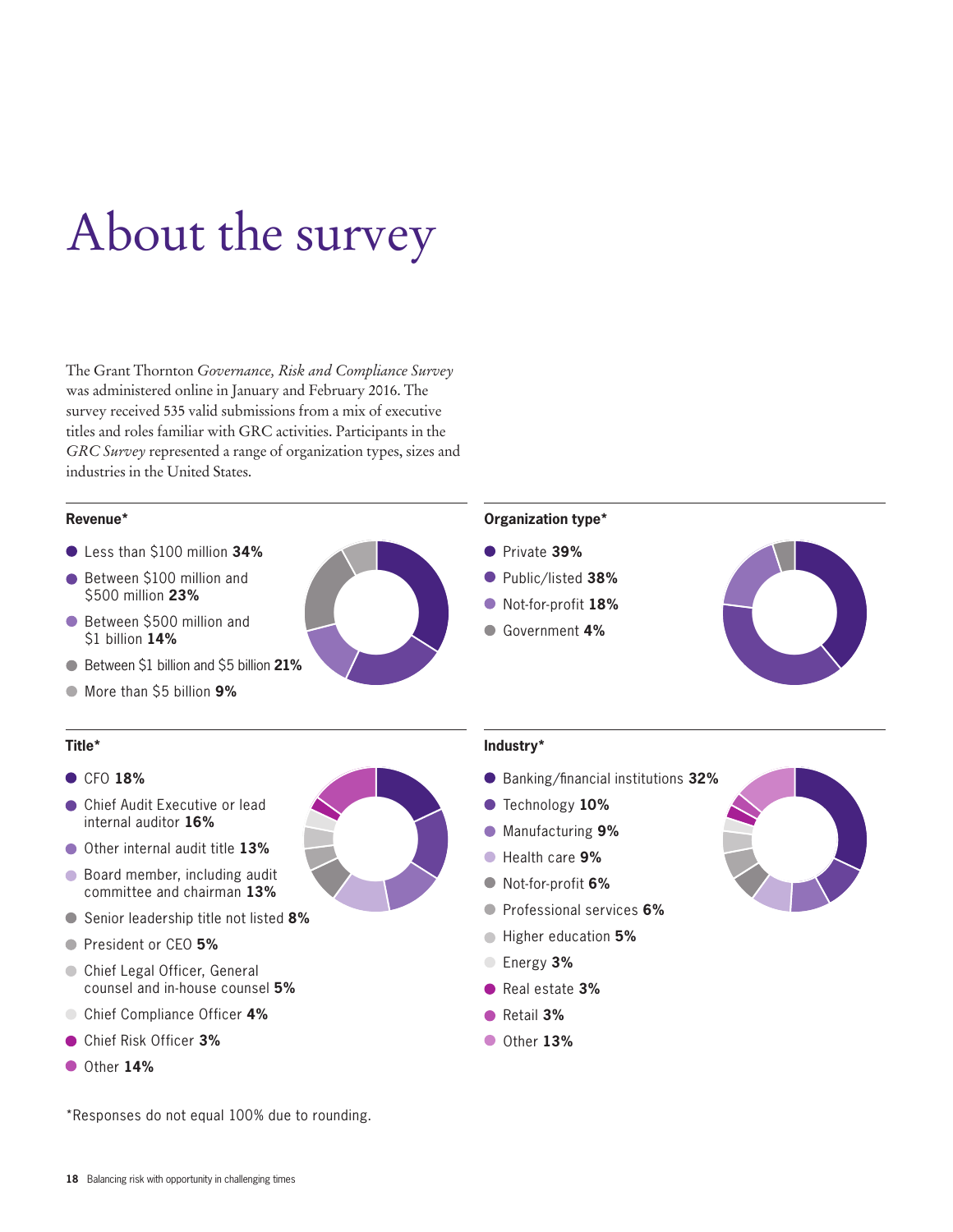## About the survey

The Grant Thornton *Governance, Risk and Compliance Survey*  was administered online in January and February 2016. The survey received 535 valid submissions from a mix of executive titles and roles familiar with GRC activities. Participants in the *GRC Survey* represented a range of organization types, sizes and industries in the United States.

#### **Revenue\***

- Less than \$100 million **34%**
- Between \$100 million and \$500 million **23%**
- Between \$500 million and \$1 billion **14%**
- Between \$1 billion and \$5 billion **21%**
- More than \$5 billion **9%**

#### **Title\***

#### CFO **18%**

- Chief Audit Executive or lead internal auditor **16%**
- Other internal audit title **13%**
- Board member, including audit committee and chairman **13%**
- Senior leadership title not listed **8%**
- President or CEO **5%**
- Chief Legal Officer, General counsel and in-house counsel **5%**
- Chief Compliance Officer **4%**
- Chief Risk Officer **3%**
- Other **14%**

\*Responses do not equal 100% due to rounding.

# 181613138554315D

#### **Industry\***

- Banking/financial institutions **32%**
- Technology **10%**

**Organization type\***

- Manufacturing **9%**
- Health care **9%**
- Not-for-profit **6%**
- Professional services **6%**
- Higher education **5%**
- Energy **3%**
- Real estate **3%**
- Retail **3%**
- Other **13%**



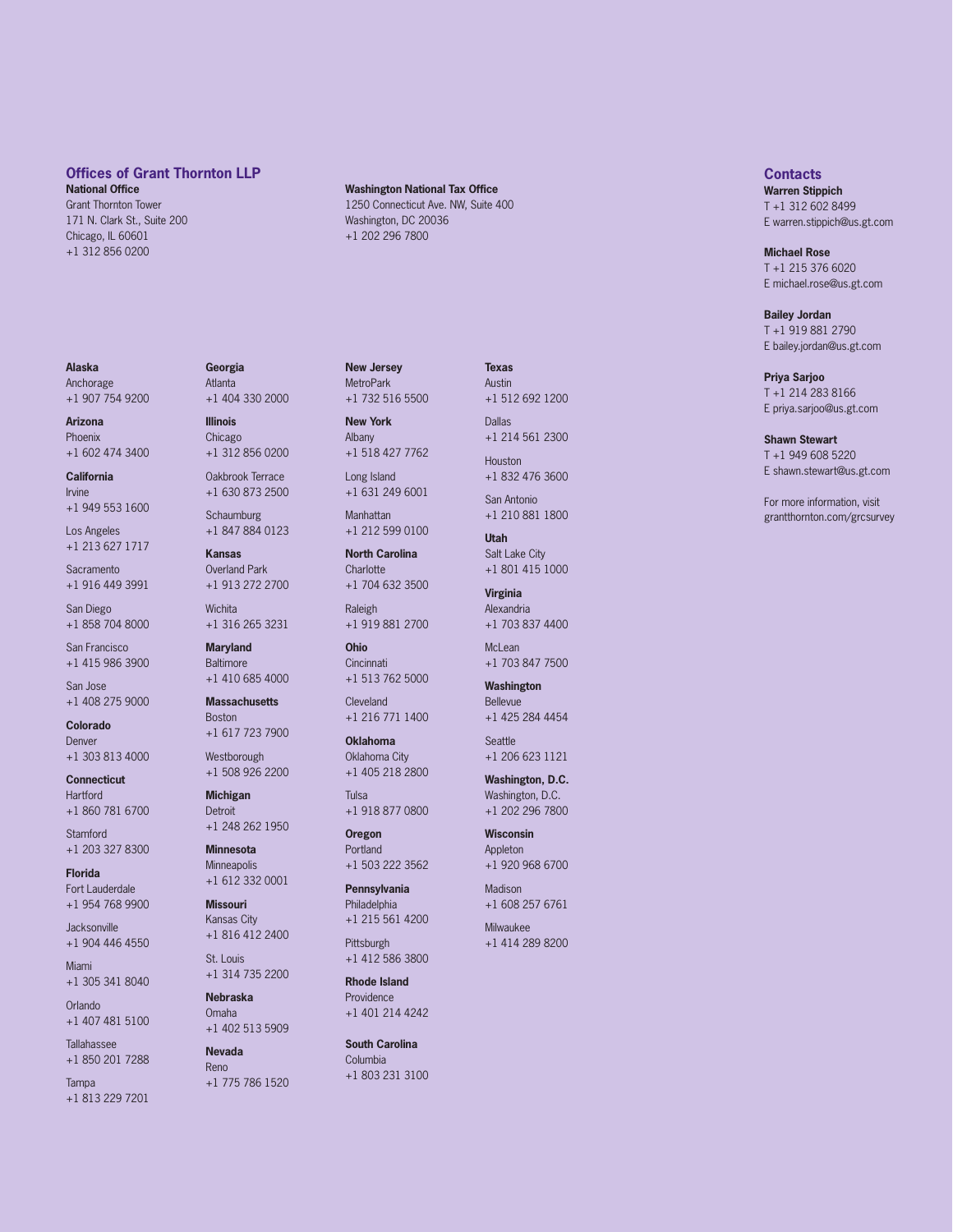#### **Offices of Grant Thornton LLP**

**National Office** Grant Thornton Tower 171 N. Clark St., Suite 200 Chicago, IL 60601 +1 312 856 0200

#### **Alaska** Anchorage

+1 907 754 9200

**Arizona** Phoenix +1 602 474 3400

#### **California** Irvine +1 949 553 1600

Los Angeles

+1 213 627 1717

**Sacramento** +1 916 449 3991

San Diego +1 858 704 8000

San Francisco +1 415 986 3900

San Jose +1 408 275 9000

**Colorado** Denver +1 303 813 4000

**Connecticut** Hartford +1 860 781 6700

**Stamford** +1 203 327 8300

**Florida** Fort Lauderdale +1 954 768 9900

**Jacksonville** +1 904 446 4550

Miami +1 305 341 8040

Orlando +1 407 481 5100

Tallahassee +1 850 201 7288

Tampa +1 813 229 7201

**Georgia** Atlanta +1 404 330 2000

**Illinois** Chicago +1 312 856 0200

Oakbrook Terrace +1 630 873 2500

**Schaumburg** +1 847 884 0123

**Kansas** Overland Park +1 913 272 2700

**Wichita** +1 316 265 3231

**Maryland** Baltimore +1 410 685 4000

#### **Massachusetts** Boston

+1 617 723 7900 **Westborough** 

+1 508 926 2200

**Michigan Detroit** +1 248 262 1950

**Minnesota** Minneapolis +1 612 332 0001

**Missouri** Kansas City +1 816 412 2400

St. Louis +1 314 735 2200

**Nebraska** Omaha +1 402 513 5909

**Nevada** Reno +1 775 786 1520 **Washington National Tax Office**

1250 Connecticut Ave. NW, Suite 400 Washington, DC 20036 +1 202 296 7800

**MetroPark** +1 732 516 5500

**New York** Albany +1 518 427 7762

**New Jersey**

Long Island +1 631 249 6001

Manhattan +1 212 599 0100

**North Carolina Charlotte** +1 704 632 3500

Raleigh +1 919 881 2700

**Ohio Cincinnati** +1 513 762 5000

**Cleveland** +1 216 771 1400

**Oklahoma** Oklahoma City +1 405 218 2800

Tulsa +1 918 877 0800

**Oregon** Portland +1 503 222 3562

**Pennsylvania** Philadelphia +1 215 561 4200

Pittsburgh +1 412 586 3800

**Rhode Island** Providence +1 401 214 4242

**South Carolina** Columbia +1 803 231 3100 **Texas** Austin

+1 512 692 1200 Dallas +1 214 561 2300

Houston +1 832 476 3600

San Antonio +1 210 881 1800

**Utah** Salt Lake City +1 801 415 1000

**Virginia** Alexandria +1 703 837 4400

McLean +1 703 847 7500

**Washington** Bellevue +1 425 284 4454

**Seattle** +1 206 623 1121

**Washington, D.C.** Washington, D.C.

+1 202 296 7800

**Wisconsin** Appleton +1 920 968 6700

Madison +1 608 257 6761

Milwaukee +1 414 289 8200 **Contacts**

**Warren Stippich** T +1 312 602 8499 E warren.stippich@us.gt.com

#### **Michael Rose**

T +1 215 376 6020 E michael.rose@us.gt.com

**Bailey Jordan** T +1 919 881 2790 E bailey.jordan@us.gt.com

**Priya Sarjoo**

T +1 214 283 8166 E priya.sarjoo@us.gt.com

**Shawn Stewart** T +1 949 608 5220 E shawn.stewart@us.gt.com

For more information, visit grantthornton.com/grcsurvey